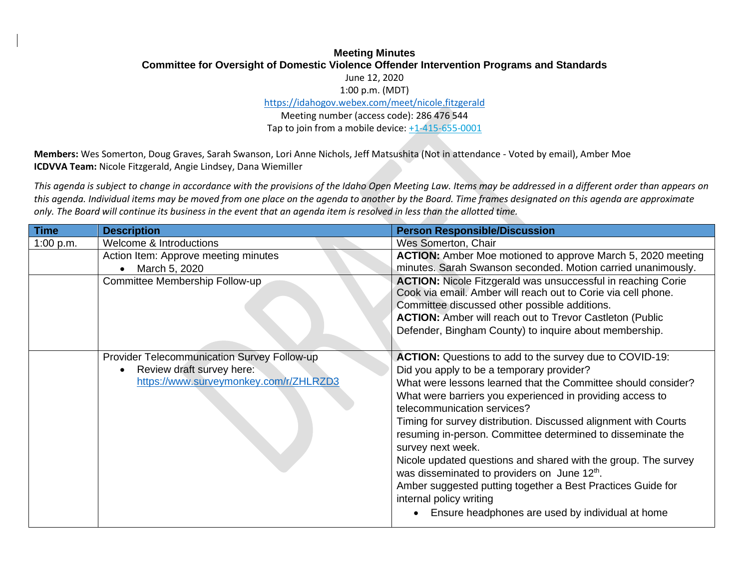## **Meeting Minutes Committee for Oversight of Domestic Violence Offender Intervention Programs and Standards** June 12, 2020

1:00 p.m. (MDT)

<https://idahogov.webex.com/meet/nicole.fitzgerald>

Meeting number (access code): 286 476 544 Tap to join from a mobile device[: +1-415-655-0001](tel:+1-415-655-0001,,*01*286476544##*01*)

**Members:** Wes Somerton, Doug Graves, Sarah Swanson, Lori Anne Nichols, Jeff Matsushita (Not in attendance - Voted by email), Amber Moe **ICDVVA Team:** Nicole Fitzgerald, Angie Lindsey, Dana Wiemiller

*This agenda is subject to change in accordance with the provisions of the Idaho Open Meeting Law. Items may be addressed in a different order than appears on this agenda. Individual items may be moved from one place on the agenda to another by the Board. Time frames designated on this agenda are approximate only. The Board will continue its business in the event that an agenda item is resolved in less than the allotted time.*

| <b>Time</b> | <b>Description</b>                          | <b>Person Responsible/Discussion</b>                                                                                                 |
|-------------|---------------------------------------------|--------------------------------------------------------------------------------------------------------------------------------------|
| 1:00 p.m.   | Welcome & Introductions                     | Wes Somerton, Chair                                                                                                                  |
|             | Action Item: Approve meeting minutes        | <b>ACTION:</b> Amber Moe motioned to approve March 5, 2020 meeting                                                                   |
|             | March 5, 2020                               | minutes. Sarah Swanson seconded. Motion carried unanimously.                                                                         |
|             | Committee Membership Follow-up              | <b>ACTION:</b> Nicole Fitzgerald was unsuccessful in reaching Corie<br>Cook via email. Amber will reach out to Corie via cell phone. |
|             |                                             | Committee discussed other possible additions.                                                                                        |
|             |                                             | <b>ACTION:</b> Amber will reach out to Trevor Castleton (Public                                                                      |
|             |                                             | Defender, Bingham County) to inquire about membership.                                                                               |
|             | Provider Telecommunication Survey Follow-up | <b>ACTION:</b> Questions to add to the survey due to COVID-19:                                                                       |
|             | Review draft survey here:                   | Did you apply to be a temporary provider?                                                                                            |
|             | https://www.surveymonkey.com/r/ZHLRZD3      | What were lessons learned that the Committee should consider?                                                                        |
|             |                                             | What were barriers you experienced in providing access to<br>telecommunication services?                                             |
|             |                                             | Timing for survey distribution. Discussed alignment with Courts                                                                      |
|             |                                             | resuming in-person. Committee determined to disseminate the<br>survey next week.                                                     |
|             |                                             | Nicole updated questions and shared with the group. The survey                                                                       |
|             |                                             | was disseminated to providers on June 12 <sup>th</sup> .                                                                             |
|             |                                             | Amber suggested putting together a Best Practices Guide for<br>internal policy writing                                               |
|             |                                             | Ensure headphones are used by individual at home                                                                                     |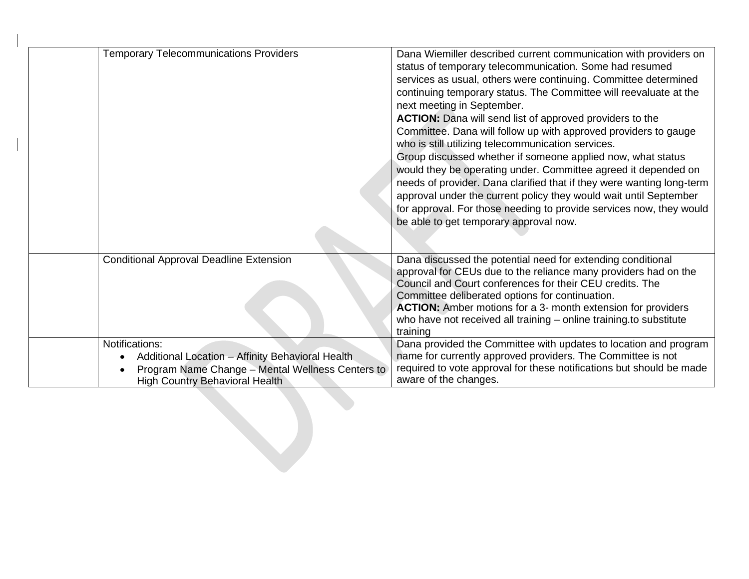| <b>Temporary Telecommunications Providers</b>                                                                                                                   | Dana Wiemiller described current communication with providers on<br>status of temporary telecommunication. Some had resumed<br>services as usual, others were continuing. Committee determined<br>continuing temporary status. The Committee will reevaluate at the<br>next meeting in September.<br><b>ACTION:</b> Dana will send list of approved providers to the<br>Committee. Dana will follow up with approved providers to gauge<br>who is still utilizing telecommunication services.<br>Group discussed whether if someone applied now, what status<br>would they be operating under. Committee agreed it depended on<br>needs of provider. Dana clarified that if they were wanting long-term<br>approval under the current policy they would wait until September<br>for approval. For those needing to provide services now, they would<br>be able to get temporary approval now. |
|-----------------------------------------------------------------------------------------------------------------------------------------------------------------|-----------------------------------------------------------------------------------------------------------------------------------------------------------------------------------------------------------------------------------------------------------------------------------------------------------------------------------------------------------------------------------------------------------------------------------------------------------------------------------------------------------------------------------------------------------------------------------------------------------------------------------------------------------------------------------------------------------------------------------------------------------------------------------------------------------------------------------------------------------------------------------------------|
| <b>Conditional Approval Deadline Extension</b>                                                                                                                  | Dana discussed the potential need for extending conditional<br>approval for CEUs due to the reliance many providers had on the<br>Council and Court conferences for their CEU credits. The<br>Committee deliberated options for continuation.<br><b>ACTION:</b> Amber motions for a 3- month extension for providers<br>who have not received all training - online training.to substitute<br>training                                                                                                                                                                                                                                                                                                                                                                                                                                                                                        |
| Notifications:<br>Additional Location - Affinity Behavioral Health<br>Program Name Change - Mental Wellness Centers to<br><b>High Country Behavioral Health</b> | Dana provided the Committee with updates to location and program<br>name for currently approved providers. The Committee is not<br>required to vote approval for these notifications but should be made<br>aware of the changes.                                                                                                                                                                                                                                                                                                                                                                                                                                                                                                                                                                                                                                                              |